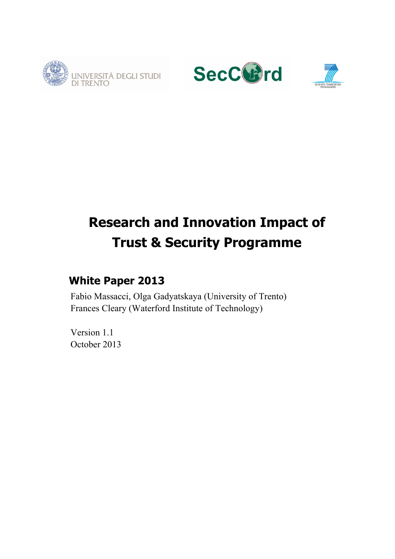





# **Research and Innovation Impact of Trust & Security Programme**

# **White Paper 2013**

Fabio Massacci, Olga Gadyatskaya (University of Trento) Frances Cleary (Waterford Institute of Technology)

Version 1.1 October 2013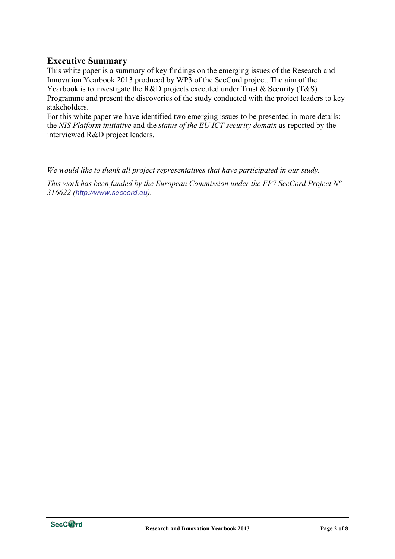# **Executive Summary**

This white paper is a summary of key findings on the emerging issues of the Research and Innovation Yearbook 2013 produced by WP3 of the SecCord project. The aim of the Yearbook is to investigate the R&D projects executed under Trust & Security (T&S) Programme and present the discoveries of the study conducted with the project leaders to key stakeholders.

For this white paper we have identified two emerging issues to be presented in more details: the *NIS Platform initiative* and the *status of the EU ICT security domain* as reported by the interviewed R&D project leaders.

*We would like to thank all project representatives that have participated in our study.*

*This work has been funded by the European Commission under the FP7 SecCord Project Nº 316622 (http://www.seccord.eu).*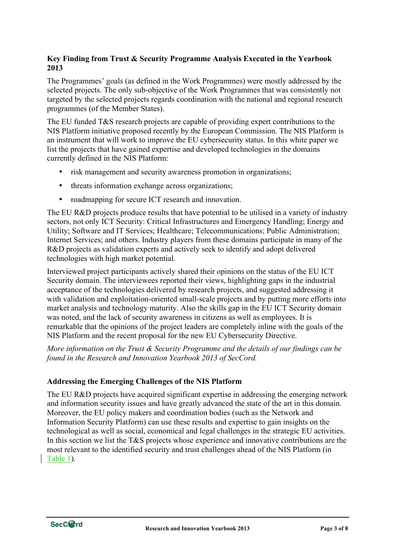## **Key Finding from Trust & Security Programme Analysis Executed in the Yearbook 2013**

The Programmes' goals (as defined in the Work Programmes) were mostly addressed by the selected projects. The only sub-objective of the Work Programmes that was consistently not targeted by the selected projects regards coordination with the national and regional research programmes (of the Member States).

The EU funded T&S research projects are capable of providing expert contributions to the NIS Platform initiative proposed recently by the European Commission. The NIS Platform is an instrument that will work to improve the EU cybersecurity status. In this white paper we list the projects that have gained expertise and developed technologies in the domains currently defined in the NIS Platform:

- risk management and security awareness promotion in organizations;
- threats information exchange across organizations:
- roadmapping for secure ICT research and innovation.

The EU R&D projects produce results that have potential to be utilised in a variety of industry sectors, not only ICT Security: Critical Infrastructures and Emergency Handling; Energy and Utility; Software and IT Services; Healthcare; Telecommunications; Public Administration; Internet Services; and others. Industry players from these domains participate in many of the R&D projects as validation experts and actively seek to identify and adopt delivered technologies with high market potential.

Interviewed project participants actively shared their opinions on the status of the EU ICT Security domain. The interviewees reported their views, highlighting gaps in the industrial acceptance of the technologies delivered by research projects, and suggested addressing it with validation and exploitation-oriented small-scale projects and by putting more efforts into market analysis and technology maturity. Also the skills gap in the EU ICT Security domain was noted, and the lack of security awareness in citizens as well as employees. It is remarkable that the opinions of the project leaders are completely inline with the goals of the NIS Platform and the recent proposal for the new EU Cybersecurity Directive.

*More information on the Trust & Security Programme and the details of our findings can be found in the Research and Innovation Yearbook 2013 of SecCord.*

#### **Addressing the Emerging Challenges of the NIS Platform**

The EU R&D projects have acquired significant expertise in addressing the emerging network and information security issues and have greatly advanced the state of the art in this domain. Moreover, the EU policy makers and coordination bodies (such as the Network and Information Security Platform) can use these results and expertise to gain insights on the technological as well as social, economical and legal challenges in the strategic EU activities. In this section we list the T&S projects whose experience and innovative contributions are the most relevant to the identified security and trust challenges ahead of the NIS Platform (in Table 1).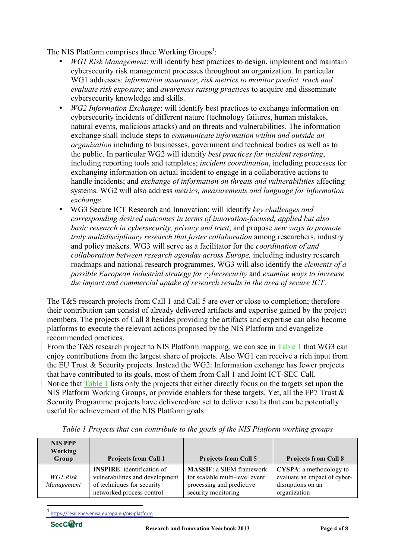The NIS Platform comprises three Working Groups<sup>1</sup>:

- *WG1 Risk Management*: will identify best practices to design, implement and maintain cybersecurity risk management processes throughout an organization. In particular WG1 addresses: *information assurance*; *risk metrics to monitor predict, track and evaluate risk exposure*; and *awareness raising practices* to acquire and disseminate cybersecurity knowledge and skills.
- *WG2 Information Exchange*: will identify best practices to exchange information on cybersecurity incidents of different nature (technology failures, human mistakes, natural events, malicious attacks) and on threats and vulnerabilities. The information exchange shall include steps to *communicate information within and outside an organization* including to businesses, government and technical bodies as well as to the public. In particular WG2 will identify *best practices for incident reporting*, including reporting tools and templates; *incident coordination*, including processes for exchanging information on actual incident to engage in a collaborative actions to handle incidents; and *exchange of information on threats and vulnerabilities* affecting systems. WG2 will also address *metrics, measurements and language for information exchange*.
- WG3 Secure ICT Research and Innovation: will identify *key challenges and corresponding desired outcomes in terms of innovation-focused, applied but also basic research in cybersecurity, privacy and trust*; and propose *new ways to promote truly multidisciplinary research that foster collaboration* among researchers, industry and policy makers. WG3 will serve as a facilitator for the *coordination of and collaboration between research agendas across Europe,* including industry research roadmaps and national research programmes. WG3 will also identify the *elements of a possible European industrial strategy for cybersecurity* and *examine ways to increase the impact and commercial uptake of research results in the area of secure ICT*.

The T&S research projects from Call 1 and Call 5 are over or close to completion; therefore their contribution can consist of already delivered artifacts and expertise gained by the project members. The projects of Call 8 besides providing the artifacts and expertise can also become platforms to execute the relevant actions proposed by the NIS Platform and evangelize recommended practices.

From the T&S research project to NIS Platform mapping, we can see in Table 1 that WG3 can enjoy contributions from the largest share of projects. Also WG1 can receive a rich input from the EU Trust & Security projects. Instead the WG2: Information exchange has fewer projects that have contributed to its goals, most of them from Call 1 and Joint ICT-SEC Call.

Notice that Table 1 lists only the projects that either directly focus on the targets set upon the NIS Platform Working Groups, or provide enablers for these targets. Yet, all the FP7 Trust & Security Programme projects have delivered/are set to deliver results that can be potentially useful for achievement of the NIS Platform goals

| <b>NIS PPP</b><br><b>Working</b><br>Group | <b>Projects from Call 1</b>                                                                                                     | <b>Projects from Call 5</b>                                                                                           | <b>Projects from Call 8</b>                                                                          |
|-------------------------------------------|---------------------------------------------------------------------------------------------------------------------------------|-----------------------------------------------------------------------------------------------------------------------|------------------------------------------------------------------------------------------------------|
| WG1 Risk<br>Management                    | <b>INSPIRE:</b> identification of<br>vulnerabilities and development<br>of techniques for security<br>networked process control | <b>MASSIF: a SIEM framework</b><br>for scalable multi-level event<br>processing and predictive<br>security monitoring | <b>CYSPA</b> : a methodology to<br>evaluate an impact of cyber-<br>disruptions on an<br>organization |

*Table 1 Projects that can contribute to the goals of the NIS Platform working groups*

<sup>1</sup> https://resilience.enisa.europa.eu/nis-platform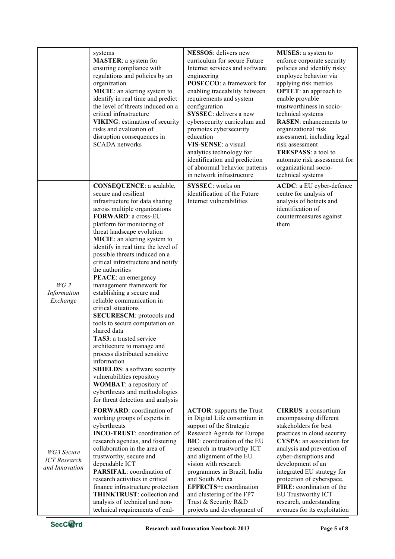|                                                            | systems<br><b>MASTER</b> : a system for<br>ensuring compliance with<br>regulations and policies by an<br>organization<br><b>MICIE:</b> an alerting system to<br>identify in real time and predict<br>the level of threats induced on a<br>critical infrastructure<br><b>VIKING:</b> estimation of security<br>risks and evaluation of<br>disruption consequences in<br><b>SCADA</b> networks                                                                                                                                                                                                                                                                                                                                                                                                                                                                                           | <b>NESSOS</b> : delivers new<br>curriculum for secure Future<br>Internet services and software<br>engineering<br>POSECCO: a framework for<br>enabling traceability between<br>requirements and system<br>configuration<br><b>SYSSEC</b> : delivers a new<br>cybersecurity curriculum and<br>promotes cybersecurity<br>education<br>VIS-SENSE: a visual<br>analytics technology for<br>identification and prediction<br>of abnormal behavior patterns<br>in network infrastructure | <b>MUSES</b> : a system to<br>enforce corporate security<br>policies and identify risky<br>employee behavior via<br>applying risk metrics<br><b>OPTET:</b> an approach to<br>enable provable<br>trustworthiness in socio-<br>technical systems<br><b>RASEN:</b> enhancements to<br>organizational risk<br>assessment, including legal<br>risk assessment<br>TRESPASS: a tool to<br>automate risk assessment for<br>organizational socio-<br>technical systems |
|------------------------------------------------------------|----------------------------------------------------------------------------------------------------------------------------------------------------------------------------------------------------------------------------------------------------------------------------------------------------------------------------------------------------------------------------------------------------------------------------------------------------------------------------------------------------------------------------------------------------------------------------------------------------------------------------------------------------------------------------------------------------------------------------------------------------------------------------------------------------------------------------------------------------------------------------------------|-----------------------------------------------------------------------------------------------------------------------------------------------------------------------------------------------------------------------------------------------------------------------------------------------------------------------------------------------------------------------------------------------------------------------------------------------------------------------------------|---------------------------------------------------------------------------------------------------------------------------------------------------------------------------------------------------------------------------------------------------------------------------------------------------------------------------------------------------------------------------------------------------------------------------------------------------------------|
| WG <sub>2</sub><br>Information<br>Exchange                 | <b>CONSEQUENCE:</b> a scalable,<br>secure and resilient<br>infrastructure for data sharing<br>across multiple organizations<br>FORWARD: a cross-EU<br>platform for monitoring of<br>threat landscape evolution<br><b>MICIE:</b> an alerting system to<br>identify in real time the level of<br>possible threats induced on a<br>critical infrastructure and notify<br>the authorities<br>PEACE: an emergency<br>management framework for<br>establishing a secure and<br>reliable communication in<br>critical situations<br>SECURESCM: protocols and<br>tools to secure computation on<br>shared data<br>TAS3: a trusted service<br>architecture to manage and<br>process distributed sensitive<br>information<br>SHIELDS: a software security<br>vulnerabilities repository<br><b>WOMBAT:</b> a repository of<br>cyberthreats and methodologies<br>for threat detection and analysis | <b>SYSSEC:</b> works on<br>identification of the Future<br>Internet vulnerabilities                                                                                                                                                                                                                                                                                                                                                                                               | ACDC: a EU cyber-defence<br>centre for analysis of<br>analysis of botnets and<br>identification of<br>countermeasures against<br>them                                                                                                                                                                                                                                                                                                                         |
| <b>WG3</b> Secure<br><b>ICT</b> Research<br>and Innovation | <b>FORWARD:</b> coordination of<br>working groups of experts in<br>cyberthreats<br><b>INCO-TRUST:</b> coordination of<br>research agendas, and fostering<br>collaboration in the area of<br>trustworthy, secure and<br>dependable ICT<br><b>PARSIFAL:</b> coordination of<br>research activities in critical<br>finance infrastructure protection<br><b>THINKTRUST:</b> collection and<br>analysis of technical and non-<br>technical requirements of end-                                                                                                                                                                                                                                                                                                                                                                                                                             | <b>ACTOR:</b> supports the Trust<br>in Digital Life consortium in<br>support of the Strategic<br>Research Agenda for Europe<br><b>BIC:</b> coordination of the EU<br>research in trustworthy ICT<br>and alignment of the EU<br>vision with research<br>programmes in Brazil, India<br>and South Africa<br><b>EFFECTS+:</b> coordination<br>and clustering of the FP7<br>Trust & Security R&D<br>projects and development of                                                       | <b>CIRRUS</b> : a consortium<br>encompassing different<br>stakeholders for best<br>practices in cloud security<br><b>CYSPA</b> : an association for<br>analysis and prevention of<br>cyber-disruptions and<br>development of an<br>integrated EU strategy for<br>protection of cyberspace.<br>FIRE: coordination of the<br><b>EU Trustworthy ICT</b><br>research, understanding<br>avenues for its exploitation                                               |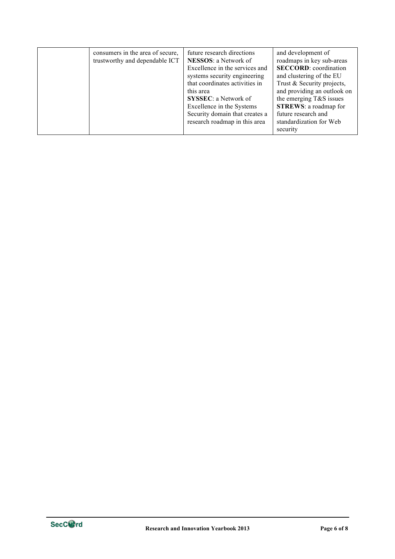| consumers in the area of secure,<br>trustworthy and dependable ICT | future research directions<br><b>NESSOS</b> : a Network of<br>Excellence in the services and<br>systems security engineering<br>that coordinates activities in<br>this area<br><b>SYSSEC</b> : a Network of<br>Excellence in the Systems<br>Security domain that creates a<br>research roadmap in this area | and development of<br>roadmaps in key sub-areas<br><b>SECCORD:</b> coordination<br>and clustering of the EU<br>Trust & Security projects,<br>and providing an outlook on<br>the emerging T&S issues<br><b>STREWS:</b> a roadmap for<br>future research and<br>standardization for Web<br>security |
|--------------------------------------------------------------------|-------------------------------------------------------------------------------------------------------------------------------------------------------------------------------------------------------------------------------------------------------------------------------------------------------------|---------------------------------------------------------------------------------------------------------------------------------------------------------------------------------------------------------------------------------------------------------------------------------------------------|
|--------------------------------------------------------------------|-------------------------------------------------------------------------------------------------------------------------------------------------------------------------------------------------------------------------------------------------------------------------------------------------------------|---------------------------------------------------------------------------------------------------------------------------------------------------------------------------------------------------------------------------------------------------------------------------------------------------|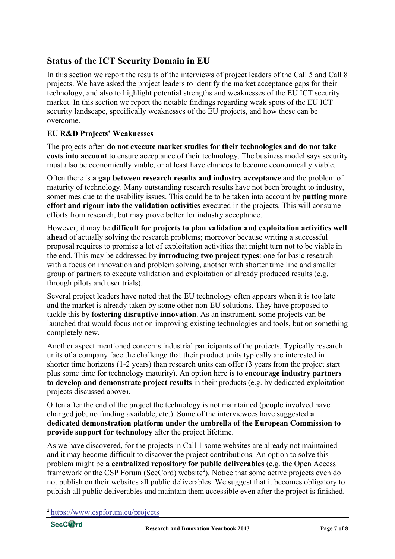# **Status of the ICT Security Domain in EU**

In this section we report the results of the interviews of project leaders of the Call 5 and Call 8 projects. We have asked the project leaders to identify the market acceptance gaps for their technology, and also to highlight potential strengths and weaknesses of the EU ICT security market. In this section we report the notable findings regarding weak spots of the EU ICT security landscape, specifically weaknesses of the EU projects, and how these can be overcome.

## **EU R&D Projects' Weaknesses**

The projects often **do not execute market studies for their technologies and do not take costs into account** to ensure acceptance of their technology. The business model says security must also be economically viable, or at least have chances to become economically viable.

Often there is **a gap between research results and industry acceptance** and the problem of maturity of technology. Many outstanding research results have not been brought to industry, sometimes due to the usability issues. This could be to be taken into account by **putting more effort and rigour into the validation activities** executed in the projects. This will consume efforts from research, but may prove better for industry acceptance.

However, it may be **difficult for projects to plan validation and exploitation activities well ahead** of actually solving the research problems; moreover because writing a successful proposal requires to promise a lot of exploitation activities that might turn not to be viable in the end. This may be addressed by **introducing two project types**: one for basic research with a focus on innovation and problem solving, another with shorter time line and smaller group of partners to execute validation and exploitation of already produced results (e.g. through pilots and user trials).

Several project leaders have noted that the EU technology often appears when it is too late and the market is already taken by some other non-EU solutions. They have proposed to tackle this by **fostering disruptive innovation**. As an instrument, some projects can be launched that would focus not on improving existing technologies and tools, but on something completely new.

Another aspect mentioned concerns industrial participants of the projects. Typically research units of a company face the challenge that their product units typically are interested in shorter time horizons (1-2 years) than research units can offer (3 years from the project start plus some time for technology maturity). An option here is to **encourage industry partners to develop and demonstrate project results** in their products (e.g. by dedicated exploitation projects discussed above).

Often after the end of the project the technology is not maintained (people involved have changed job, no funding available, etc.). Some of the interviewees have suggested **a dedicated demonstration platform under the umbrella of the European Commission to provide support for technology** after the project lifetime.

As we have discovered, for the projects in Call 1 some websites are already not maintained and it may become difficult to discover the project contributions. An option to solve this problem might be **a centralized repository for public deliverables** (e.g. the Open Access framework or the CSP Forum (SecCord) website<sup>2</sup>). Notice that some active projects even do not publish on their websites all public deliverables. We suggest that it becomes obligatory to publish all public deliverables and maintain them accessible even after the project is finished.

 $\overline{a}$ 

<sup>2</sup> https://www.cspforum.eu/projects